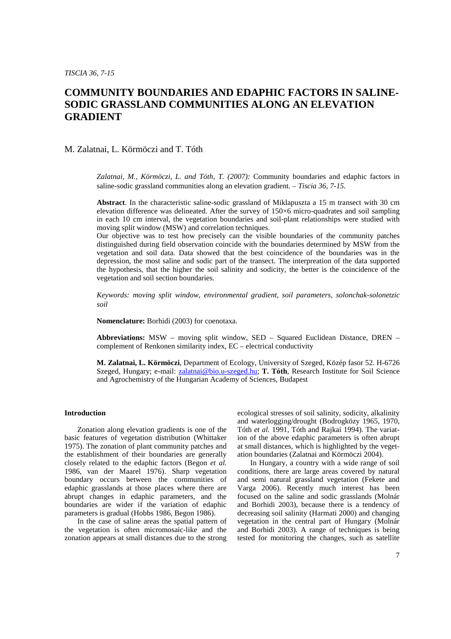# **COMMUNITY BOUNDARIES AND EDAPHIC FACTORS IN SALINE-SODIC GRASSLAND COMMUNITIES ALONG AN ELEVATION GRADIENT**

## M. Zalatnai, L. Körmöczi and T. Tóth

*Zalatnai, M., Körmöczi, L. and Tóth, T. (2007):* Community boundaries and edaphic factors in saline-sodic grassland communities along an elevation gradient*. – Tiscia 36, 7-15.* 

**Abstract**. In the characteristic saline-sodic grassland of Miklapuszta a 15 m transect with 30 cm elevation difference was delineated. After the survey of 150×6 micro-quadrates and soil sampling in each 10 cm interval, the vegetation boundaries and soil-plant relationships were studied with moving split window (MSW) and correlation techniques.

Our objective was to test how precisely can the visible boundaries of the community patches distinguished during field observation coincide with the boundaries determined by MSW from the vegetation and soil data. Data showed that the best coincidence of the boundaries was in the depression, the most saline and sodic part of the transect. The interpreation of the data supported the hypothesis, that the higher the soil salinity and sodicity, the better is the coincidence of the vegetation and soil section boundaries.

*Keywords: moving split window, environmental gradient, soil parameters, solonchak-solonetzic soil* 

**Nomenclature:** Borhidi (2003) for coenotaxa.

**Abbreviations:** MSW – moving split window, SED – Squared Euclidean Distance, DREN – complement of Renkonen similarity index, EC – electrical conductivity

**M. Zalatnai, L. Körmöczi**, Department of Ecology, University of Szeged, Közép fasor 52. H-6726 Szeged, Hungary; e-mail: zalatnai@bio.u-szeged.hu; **T. Tóth**, Research Institute for Soil Science and Agrochemistry of the Hungarian Academy of Sciences, Budapest

## **Introduction**

Zonation along elevation gradients is one of the basic features of vegetation distribution (Whittaker 1975). The zonation of plant community patches and the establishment of their boundaries are generally closely related to the edaphic factors (Begon *et al.* 1986, van der Maarel 1976). Sharp vegetation boundary occurs between the communities of edaphic grasslands at those places where there are abrupt changes in edaphic parameters, and the boundaries are wider if the variation of edaphic parameters is gradual (Hobbs 1986, Begon 1986).

In the case of saline areas the spatial pattern of the vegetation is often micromosaic-like and the zonation appears at small distances due to the strong ecological stresses of soil salinity, sodicity, alkalinity and waterlogging/drought (Bodrogközy 1965, 1970, Tóth *et al.* 1991, Tóth and Rajkai 1994). The variation of the above edaphic parameters is often abrupt at small distances, which is highlighted by the vegetation boundaries (Zalatnai and Körmöczi 2004).

In Hungary, a country with a wide range of soil conditions, there are large areas covered by natural and semi natural grassland vegetation (Fekete and Varga 2006). Recently much interest has been focused on the saline and sodic grasslands (Molnár and Borhidi 2003), because there is a tendency of decreasing soil salinity (Harmati 2000) and changing vegetation in the central part of Hungary (Molnár and Borhidi 2003). A range of techniques is being tested for monitoring the changes, such as satellite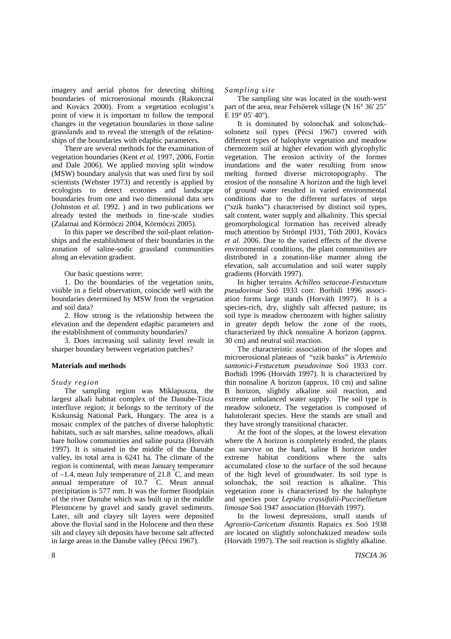imagery and aerial photos for detecting shifting boundaries of microerosional mounds (Rakonczai and Kovács 2000). From a vegetation ecologist's point of view it is important to follow the temporal changes in the vegetation boundaries in those saline grasslands and to reveal the strength of the relationships of the boundaries with edaphic parameters.

There are several methods for the examination of vegetation boundaries (Kent *et al.* 1997, 2006, Fortin and Dale 2006). We applied moving split window (MSW) boundary analysis that was used first by soil scientists (Webster 1973) and recently is applied by ecologists to detect ecotones and landscape boundaries from one and two dimensional data sets (Johnston *et al.* 1992. ) and in two publications we already tested the methods in fine-scale studies (Zalatnai and Körmöczi 2004, Körmöczi 2005).

In this paper we described the soil-plant relationships and the establishment of their boundaries in the zonation of saline-sodic grassland communities along an elevation gradient.

Our basic questions were:

1. Do the boundaries of the vegetation units, visible in a field observation, coincide well with the boundaries determined by MSW from the vegetation and soil data?

2. How strong is the relationship between the elevation and the dependent edaphic parameters and the establishment of community boundaries?

3. Does increasing soil salinity level result in sharper boundary between vegetation patches?

## **Materials and methods**

## *Study region*

The sampling region was Miklapuszta, the largest alkali habitat complex of the Danube-Tisza interfluve region; it belongs to the territory of the Kiskunság National Park, Hungary. The area is a mosaic complex of the patches of diverse halophytic habitats, such as salt marshes, saline meadows, alkali bare hollow communities and saline puszta (Horváth 1997). It is situated in the middle of the Danube valley, its total area is 6241 ha. The climate of the region is continental, with mean January temperature of  $-1.4$ , mean July temperature of 21.8 °C, and mean annual temperature of 10.7 °C. Mean annual precipitation is 577 mm. It was the former floodplain of the river Danube which was built up in the middle Pleistocene by gravel and sandy gravel sediments. Later, silt and clayey silt layers were deposited above the fluvial sand in the Holocene and then these silt and clayey silt deposits have become salt affected in large areas in the Danube valley (Pécsi 1967).

#### *Sampling site*

The sampling site was located in the south-west part of the area, near Felsőerek village (N 16° 36' 25" E  $19^{\circ}$  05' 40").

It is dominated by solonchak and solonchaksolonetz soil types (Pécsi 1967) covered with different types of halophyte vegetation and meadow chernozem soil at higher elevation with glycophylic vegetation. The erosion activity of the former inundations and the water resulting from snow melting formed diverse microtopography. The erosion of the nonsaline A horizon and the high level of ground water resulted in varied environmental conditions due to the different surfaces of steps ("szik banks") characterised by distinct soil types, salt content, water supply and alkalinity. This special geomorphological formation has received already much attention by Strömpl 1931, Tóth 2001, Kovács *et al.* 2006. Due to the varied effects of the diverse environmental conditions, the plant communities are distributed in a zonation-like manner along the elevation, salt accumulation and soil water supply gradients (Horváth 1997).

In higher terrains *Achilleo setaceae-Festucetum pseudovinae* Soó 1933 corr. Borhidi 1996 association forms large stands (Horváth 1997). It is a species-rich, dry, slightly salt affected pasture; its soil type is meadow chernozem with higher salinity in greater depth below the zone of the roots, characterized by thick nonsaline A horizon (approx. 30 cm) and neutral soil reaction.

The characteristic association of the slopes and microerosional plateaus of "szik banks" is *Artemisio santonici-Festucetum pseudovinae* Soó 1933 corr. Borhidi 1996 (Horváth 1997)*.* It is characterized by thin nonsaline A horizon (approx. 10 cm) and saline B horizon, slightly alkaline soil reaction, and extreme unbalanced water supply. The soil type is meadow solonetz. The vegetation is composed of halotolerant species. Here the stands are small and they have strongly transitional character*.*

At the foot of the slopes, at the lowest elevation where the A horizon is completely eroded, the plants can survive on the hard, saline B horizon under extreme habitat conditions where the salts accumulated close to the surface of the soil because of the high level of groundwater. Its soil type is solonchak, the soil reaction is alkaline. This vegetation zone is characterized by the halophyte and species poor *Lepidio crassifolii-Puccinellietum limosae* Soó 1947 association (Horváth 1997).

In the lowest depressions, small stands of *Agrostio-Caricetum distantis* Rapaics ex Soó 1938 are located on slightly solonchakized meadow soils (Horváth 1997). The soil reaction is slightly alkaline.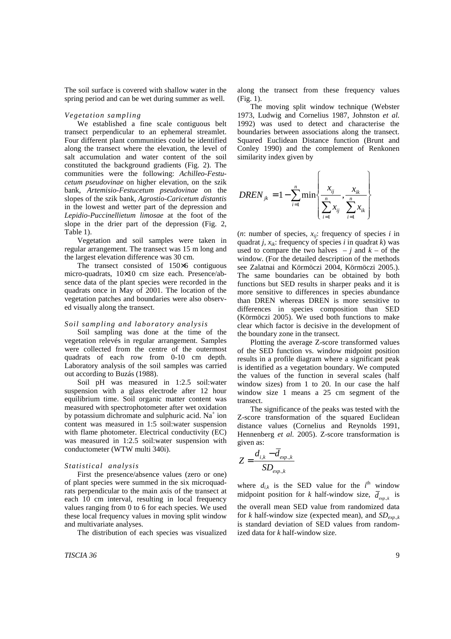The soil surface is covered with shallow water in the spring period and can be wet during summer as well.

## *Vegetation sampling*

We established a fine scale contiguous belt transect perpendicular to an ephemeral streamlet. Four different plant communities could be identified along the transect where the elevation, the level of salt accumulation and water content of the soil constituted the background gradients (Fig. 2). The communities were the following: *Achilleo-Festucetum pseudovinae* on higher elevation, on the szik bank*, Artemisio-Festucetum pseudovinae* on the slopes of the szik bank*, Agrostio-Caricetum distantis*  in the lowest and wetter part of the depression and *Lepidio-Puccinellietum limosae* at the foot of the slope in the drier part of the depression (Fig. 2, Table 1).

Vegetation and soil samples were taken in regular arrangement. The transect was 15 m long and the largest elevation difference was 30 cm.

The transect consisted of 150×6 contiguous micro-quadrats, 10×10 cm size each. Presence/absence data of the plant species were recorded in the quadrats once in May of 2001. The location of the vegetation patches and boundaries were also observed visually along the transect.

## *Soil sampling and laboratory analysis*

Soil sampling was done at the time of the vegetation relevés in regular arrangement. Samples were collected from the centre of the outermost quadrats of each row from 0-10 cm depth. Laboratory analysis of the soil samples was carried out according to Buzás (1988).

Soil pH was measured in 1:2.5 soil:water suspension with a glass electrode after 12 hour equilibrium time. Soil organic matter content was measured with spectrophotometer after wet oxidation by potassium dichromate and sulphuric acid. Na<sup>+</sup> ion content was measured in 1:5 soil:water suspension with flame photometer. Electrical conductivity (EC) was measured in 1:2.5 soil:water suspension with conductometer (WTW multi 340i).

## *Statistical analysis*

First the presence/absence values (zero or one) of plant species were summed in the six microquadrats perpendicular to the main axis of the transect at each 10 cm interval, resulting in local frequency values ranging from 0 to 6 for each species. We used these local frequency values in moving split window and multivariate analyses.

The distribution of each species was visualized

along the transect from these frequency values (Fig. 1).

The moving split window technique (Webster 1973, Ludwig and Cornelius 1987, Johnston *et al.* 1992) was used to detect and characterise the boundaries between associations along the transect. Squared Euclidean Distance function (Brunt and Conley 1990) and the complement of Renkonen similarity index given by

$$
DREN_{jk} = 1 - \sum_{i=1}^{n} \min \left\{ \frac{x_{ij}}{\sum_{i=1}^{n} x_{ij}}, \frac{x_{ik}}{\sum_{i=1}^{n} x_{ik}} \right\}
$$

(*n*: number of species,  $x_{ij}$ : frequency of species *i* in quadrat *j*,  $x_{ik}$ : frequency of species *i* in quadrat *k*) was used to compare the two halves  $- j$  and  $k -$  of the window. (For the detailed description of the methods see Zalatnai and Körmöczi 2004, Körmöczi 2005.). The same boundaries can be obtained by both functions but SED results in sharper peaks and it is more sensitive to differences in species abundance than DREN whereas DREN is more sensitive to differences in species composition than SED (Körmöczi 2005). We used both functions to make clear which factor is decisive in the development of the boundary zone in the transect.

Plotting the average Z-score transformed values of the SED function vs. window midpoint position results in a profile diagram where a significant peak is identified as a vegetation boundary. We computed the values of the function in several scales (half window sizes) from 1 to 20. In our case the half window size 1 means a 25 cm segment of the transect.

The significance of the peaks was tested with the Z-score transformation of the squared Euclidean distance values (Cornelius and Reynolds 1991, Hennenberg *et al.* 2005). Z-score transformation is given as:

$$
Z = \frac{d_{i,k} - d_{exp..k}}{SD_{exp..k}}
$$

where  $d_{i,k}$  is the SED value for the  $i^{\text{th}}$  window midpoint position for *k* half-window size,  $\overline{d}_{exp,k}$  is the overall mean SED value from randomized data for *k* half-window size (expected mean), and  $SD_{exp,k}$ is standard deviation of SED values from randomized data for *k* half-window size.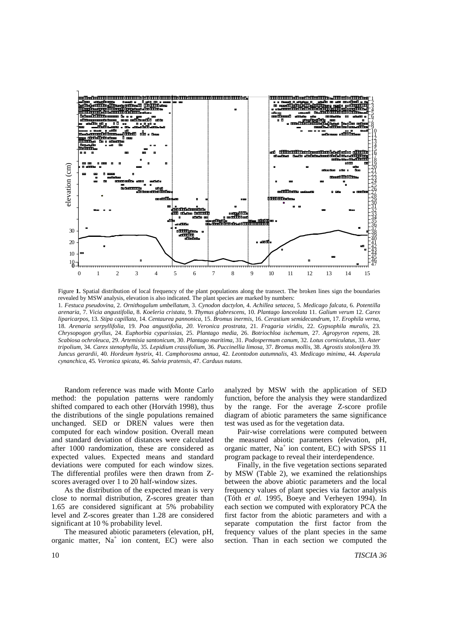

Figure **1.** Spatial distribution of local frequency of the plant populations along the transect. The broken lines sign the boundaries revealed by MSW analysis, elevation is also indicated. The plant species are marked by numbers: 1*. Festuca pseudovina,* 2. *Ornithogalum umbellatum,* 3. *Cynodon dactylon,* 4. *Achillea setacea,* 5. *Medicago falcata,* 6. *Potentilla arenaria,* 7. *Vicia angustifolia,* 8. *Koeleria cristata,* 9. *Thymus glabrescens,* 10. *Plantago lanceolata* 11. *Galium verum* 12. *Carex liparicarpos,* 13*. Stipa capillata,* 14. *Centaurea pannonica,* 15. *Bromus inermis,* 16. *Cerastium semidecandrum,* 17. *Erophila verna,*  18. *Arenaria serpyllifolia,* 19. *Poa angustifolia, 20. Veronica prostrata,* 21. *Fragaria viridis,* 22. *Gypsophila muralis,* 23. *Chrysopogon gryllus,* 24. *Euphorbia cyparissias,* 25. *Plantago media,* 26. *Botriochloa ischemum,* 27. *Agropyron repens,* 28. *Scabiosa ochroleuca,* 29. *Artemisia santonicum,* 30. *Plantago maritima,* 31. *Podospermum canum,* 32. *Lotus corniculatus,* 33. *Aster tripolium,* 34. *Carex stenophylla,* 35. *Lepidium crassifolium,* 36. *Puccinellia limosa,* 37. *Bromus mollis,* 38. *Agrostis stolonifera* 39*. Juncus gerardii,* 40. *Hordeum hystrix,* 41. *Camphorosma annua,* 42. *Leontodon autumnalis,* 43*. Medicago minima,* 44*. Asperula cynanchica,* 45*. Veronica spicata,* 46. *Salvia pratensis,* 47. *Carduus nutans.* 

Random reference was made with Monte Carlo method: the population patterns were randomly shifted compared to each other (Horváth 1998), thus the distributions of the single populations remained unchanged. SED or DREN values were then computed for each window position. Overall mean and standard deviation of distances were calculated after 1000 randomization, these are considered as expected values. Expected means and standard deviations were computed for each window sizes. The differential profiles were then drawn from Zscores averaged over 1 to 20 half-window sizes.

As the distribution of the expected mean is very close to normal distribution, Z-scores greater than 1.65 are considered significant at 5% probability level and Z-scores greater than 1.28 are considered significant at 10 % probability level.

The measured abiotic parameters (elevation, pH, organic matter, Na<sup>+</sup> ion content, EC) were also analyzed by MSW with the application of SED function, before the analysis they were standardized by the range. For the average Z-score profile diagram of abiotic parameters the same significance test was used as for the vegetation data.

Pair-wise correlations were computed between the measured abiotic parameters (elevation, pH, organic matter, Na<sup>+</sup> ion content, EC) with SPSS 11 program package to reveal their interdependence.

Finally, in the five vegetation sections separated by MSW (Table 2), we examined the relationships between the above abiotic parameters and the local frequency values of plant species via factor analysis (Tóth *et al.* 1995, Boeye and Verheyen 1994). In each section we computed with exploratory PCA the first factor from the abiotic parameters and with a separate computation the first factor from the frequency values of the plant species in the same section. Than in each section we computed the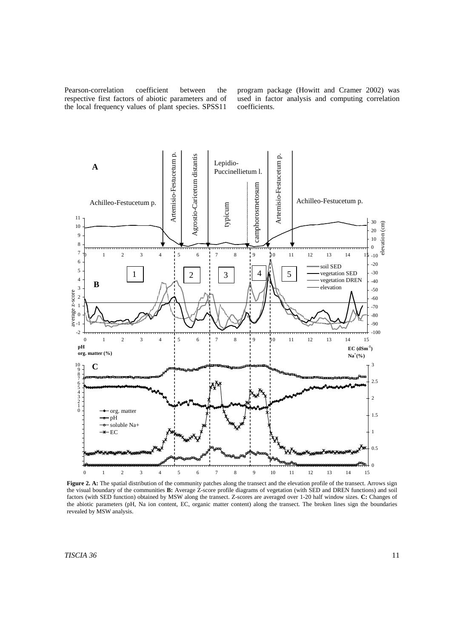Pearson-correlation coefficient between the respective first factors of abiotic parameters and of the local frequency values of plant species. SPSS11 program package (Howitt and Cramer 2002) was used in factor analysis and computing correlation coefficients.



Figure 2. A: The spatial distribution of the community patches along the transect and the elevation profile of the transect. Arrows sign the visual boundary of the communities **B:** Average Z-score profile diagrams of vegetation (with SED and DREN functions) and soil factors (with SED function) obtained by MSW along the transect. Z-scores are averaged over 1-20 half window sizes. **C:** Changes of the abiotic parameters (pH, Na ion content, EC, organic matter content) along the transect. The broken lines sign the boundaries revealed by MSW analysis.

*TISCIA 36* 11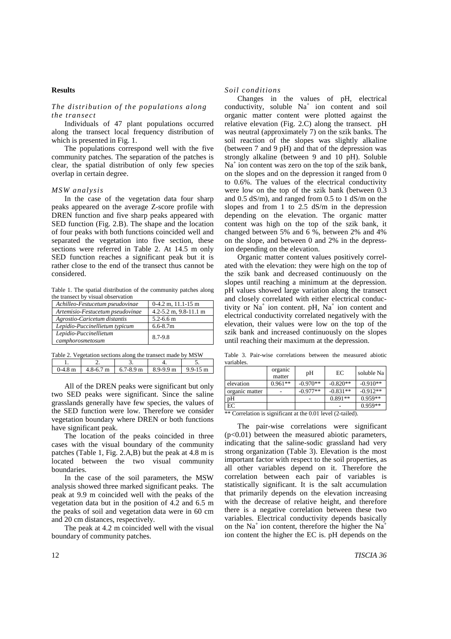## **Results**

## *The distribution of the populations along the transect*

Individuals of 47 plant populations occurred along the transect local frequency distribution of which is presented in Fig. 1.

The populations correspond well with the five community patches. The separation of the patches is clear, the spatial distribution of only few species overlap in certain degree.

## *MSW analysis*

In the case of the vegetation data four sharp peaks appeared on the average Z-score profile with DREN function and five sharp peaks appeared with SED function (Fig. 2.B). The shape and the location of four peaks with both functions coincided well and separated the vegetation into five section, these sections were referred in Table 2. At 14.5 m only SED function reaches a significant peak but it is rather close to the end of the transect thus cannot be considered.

Table 1. The spatial distribution of the community patches along the transect by visual observation

| Achilleo-Festucetum pseudovinae            | $0-4.2$ m, $11.1-15$ m        |
|--------------------------------------------|-------------------------------|
| Artemisio-Festucetum pseudovinae           | $4.2 - 5.2$ m, $9.8 - 11.1$ m |
| Agrostio-Caricetum distantis               | $5.2 - 6.6$ m                 |
| Lepidio-Puccinellietum typicum             | $6.6 - 8.7m$                  |
| Lepidio-Puccinellietum<br>camphorosmetosum | 8.7-9.8                       |

Table 2. Vegetation sections along the transect made by MSW

| $0-4.8$ m | $4.8-6.7$ m $6.7-8.9$ m $\vert$ | $8.9 - 9.9$ m | $9.9 - 15 \text{ m}$ |
|-----------|---------------------------------|---------------|----------------------|
|           |                                 |               |                      |

All of the DREN peaks were significant but only two SED peaks were significant. Since the saline grasslands generally have few species, the values of the SED function were low. Therefore we consider vegetation boundary where DREN or both functions have significant peak.

The location of the peaks coincided in three cases with the visual boundary of the community patches (Table 1, Fig. 2.A,B) but the peak at 4.8 m is located between the two visual community boundaries.

In the case of the soil parameters, the MSW analysis showed three marked significant peaks. The peak at 9.9 m coincided well with the peaks of the vegetation data but in the position of 4.2 and 6.5 m the peaks of soil and vegetation data were in 60 cm and 20 cm distances, respectively.

The peak at 4.2 m coincided well with the visual boundary of community patches.

## *Soil conditions*

Changes in the values of pH, electrical conductivity, soluble  $Na<sup>+</sup>$  ion content and soil organic matter content were plotted against the relative elevation (Fig. 2.C) along the transect. pH was neutral (approximately 7) on the szik banks. The soil reaction of the slopes was slightly alkaline (between 7 and 9 pH) and that of the depression was strongly alkaline (between 9 and 10 pH). Soluble Na<sup>+</sup> ion content was zero on the top of the szik bank, on the slopes and on the depression it ranged from 0 to 0.6%. The values of the electrical conductivity were low on the top of the szik bank (between 0.3 and 0.5 dS/m), and ranged from 0.5 to 1 dS/m on the slopes and from 1 to 2.5 dS/m in the depression depending on the elevation. The organic matter content was high on the top of the szik bank, it changed between 5% and 6 %, between 2% and 4% on the slope, and between 0 and 2% in the depression depending on the elevation.

Organic matter content values positively correlated with the elevation: they were high on the top of the szik bank and decreased continuously on the slopes until reaching a minimum at the depression. pH values showed large variation along the transect and closely correlated with either electrical conductivity or  $Na<sup>+</sup>$  ion content. pH,  $Na<sup>+</sup>$  ion content and electrical conductivity correlated negatively with the elevation, their values were low on the top of the szik bank and increased continuously on the slopes until reaching their maximum at the depression.

Table 3. Pair-wise correlations between the measured abiotic variables.

|                                                                      | organic<br>matter | pH         | EC         | soluble Na |  |
|----------------------------------------------------------------------|-------------------|------------|------------|------------|--|
| elevation                                                            | $0.961**$         | $-0.970**$ | $-0.820**$ | $-0.910**$ |  |
| organic matter                                                       |                   | $-0.977**$ | $-0.831**$ | $-0.912**$ |  |
| pΗ                                                                   |                   |            | $0.891**$  | $0.959**$  |  |
| EC                                                                   |                   |            |            | $0.959**$  |  |
| $**$ Completion is significant at the 0.01 layel $(2 \text{ total})$ |                   |            |            |            |  |

Correlation is significant at the  $0.01$  level (2-tailed).

The pair-wise correlations were significant  $(p<0.01)$  between the measured abiotic parameters, indicating that the saline-sodic grassland had very strong organization (Table 3). Elevation is the most important factor with respect to the soil properties, as all other variables depend on it. Therefore the correlation between each pair of variables is statistically significant. It is the salt accumulation that primarily depends on the elevation increasing with the decrease of relative height, and therefore there is a negative correlation between these two variables. Electrical conductivity depends basically on the Na<sup>+</sup> ion content, therefore the higher the Na<sup>+</sup> ion content the higher the EC is. pH depends on the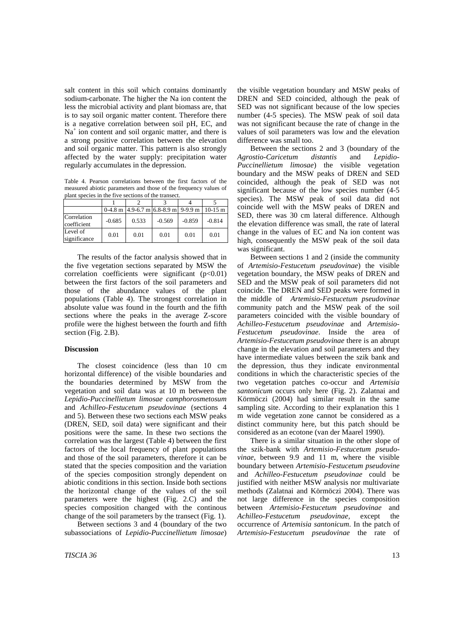salt content in this soil which contains dominantly sodium-carbonate. The higher the Na ion content the less the microbial activity and plant biomass are, that is to say soil organic matter content. Therefore there is a negative correlation between soil pH, EC, and Na<sup>+</sup> ion content and soil organic matter, and there is a strong positive correlation between the elevation and soil organic matter. This pattern is also strongly affected by the water supply: precipitation water regularly accumulates in the depression.

Table 4. Pearson correlations between the first factors of the measured abiotic parameters and those of the frequency values of plant species in the five sections of the transect.

|                            |          | $0-4.8$ m $\left[4.9-6.7$ m $6.8-8.9$ m $\right]9-9.9$ m |          |          | $10-15$ m |
|----------------------------|----------|----------------------------------------------------------|----------|----------|-----------|
| Correlation<br>coefficient | $-0.685$ | 0.533                                                    | $-0.569$ | $-0.859$ | $-0.814$  |
| Level of<br>significance   | 0.01     | 0.01                                                     | 0.01     | 0.01     | 0.01      |

The results of the factor analysis showed that in the five vegetation sections separated by MSW the correlation coefficients were significant (p<0.01) between the first factors of the soil parameters and those of the abundance values of the plant populations (Table 4). The strongest correlation in absolute value was found in the fourth and the fifth sections where the peaks in the average Z-score profile were the highest between the fourth and fifth section (Fig. 2.B).

## **Discussion**

The closest coincidence (less than 10 cm horizontal difference) of the visible boundaries and the boundaries determined by MSW from the vegetation and soil data was at 10 m between the *Lepidio-Puccinellietum limosae camphorosmetosum* and *Achilleo-Festucetum pseudovinae* (sections 4 and 5). Between these two sections each MSW peaks (DREN, SED, soil data) were significant and their positions were the same. In these two sections the correlation was the largest (Table 4) between the first factors of the local frequency of plant populations and those of the soil parameters, therefore it can be stated that the species composition and the variation of the species composition strongly dependent on abiotic conditions in this section. Inside both sections the horizontal change of the values of the soil parameters were the highest (Fig. 2.C) and the species composition changed with the continous change of the soil parameters by the transect (Fig. 1).

Between sections 3 and 4 (boundary of the two subassociations of *Lepidio-Puccinellietum limosae*) the visible vegetation boundary and MSW peaks of DREN and SED coincided, although the peak of SED was not significant because of the low species number (4-5 species). The MSW peak of soil data was not significant because the rate of change in the values of soil parameters was low and the elevation difference was small too.

Between the sections 2 and 3 (boundary of the *Agrostio-Caricetum distantis* and *Lepidio-Puccinellietum limosae*) the visible vegetation boundary and the MSW peaks of DREN and SED coincided, although the peak of SED was not significant because of the low species number  $(4-5)$ species). The MSW peak of soil data did not coincide well with the MSW peaks of DREN and SED, there was 30 cm lateral difference. Although the elevation difference was small, the rate of lateral change in the values of EC and Na ion content was high, consequently the MSW peak of the soil data was significant.

Between sections 1 and 2 (inside the community of *Artemisio-Festucetum pseudovinae*) the visible vegetation boundary, the MSW peaks of DREN and SED and the MSW peak of soil parameters did not coincide. The DREN and SED peaks were formed in the middle of *Artemisio-Festucetum pseudovinae* community patch and the MSW peak of the soil parameters coincided with the visible boundary of *Achilleo-Festucetum pseudovinae* and *Artemisio-Festucetum pseudovinae*. Inside the area of *Artemisio-Festucetum pseudovinae* there is an abrupt change in the elevation and soil parameters and they have intermediate values between the szik bank and the depression, thus they indicate environmental conditions in which the characteristic species of the two vegetation patches co-occur and *Artemisia santonicum* occurs only here (Fig. 2). Zalatnai and Körmöczi (2004) had similar result in the same sampling site. According to their explanation this 1 m wide vegetation zone cannot be considered as a distinct community here, but this patch should be considered as an ecotone (van der Maarel 1990).

There is a similar situation in the other slope of the szik-bank with *Artemisio-Festucetum pseudovinae*, between 9.9 and 11 m, where the visible boundary between *Artemisio-Festucetum pseudovine* and *Achilleo-Festucetum pseudovinae* could be justified with neither MSW analysis nor multivariate methods (Zalatnai and Körmöczi 2004). There was not large difference in the species composition between *Artemisio-Festucetum pseudovinae* and *Achilleo-Festucetum pseudovinae,* except the occurrence of *Artemisia santonicum*. In the patch of *Artemisio-Festucetum pseudovinae* the rate of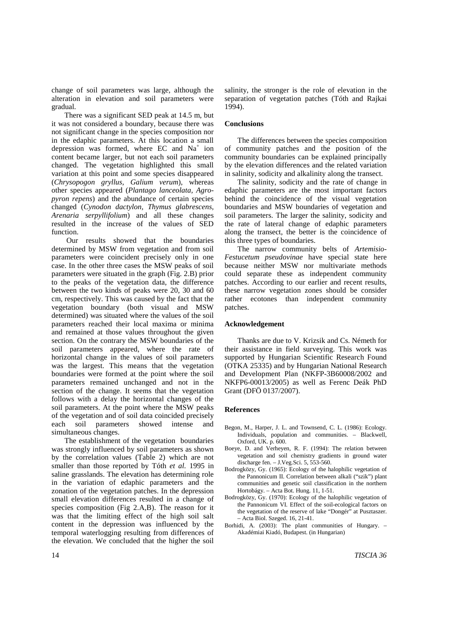change of soil parameters was large, although the alteration in elevation and soil parameters were gradual.

There was a significant SED peak at 14.5 m, but it was not considered a boundary, because there was not significant change in the species composition nor in the edaphic parameters. At this location a small depression was formed, where EC and Na<sup>+</sup> ion content became larger, but not each soil parameters changed. The vegetation highlighted this small variation at this point and some species disappeared (*Chrysopogon gryllus, Galium verum*), whereas other species appeared (*Plantago lanceolata, Agropyron repens*) and the abundance of certain species changed (*Cynodon dactylon, Thymus glabrescens, Arenaria serpyllifolium*) and all these changes resulted in the increase of the values of SED function.

 Our results showed that the boundaries determined by MSW from vegetation and from soil parameters were coincident precisely only in one case. In the other three cases the MSW peaks of soil parameters were situated in the graph (Fig. 2.B) prior to the peaks of the vegetation data, the difference between the two kinds of peaks were 20, 30 and 60 cm, respectively. This was caused by the fact that the vegetation boundary (both visual and MSW determined) was situated where the values of the soil parameters reached their local maxima or minima and remained at those values throughout the given section. On the contrary the MSW boundaries of the soil parameters appeared, where the rate of horizontal change in the values of soil parameters was the largest. This means that the vegetation boundaries were formed at the point where the soil parameters remained unchanged and not in the section of the change. It seems that the vegetation follows with a delay the horizontal changes of the soil parameters. At the point where the MSW peaks of the vegetation and of soil data coincided precisely each soil parameters showed intense and simultaneous changes.

The establishment of the vegetation boundaries was strongly influenced by soil parameters as shown by the correlation values (Table 2) which are not smaller than those reported by Tóth *et al.* 1995 in saline grasslands. The elevation has determining role in the variation of edaphic parameters and the zonation of the vegetation patches. In the depression small elevation differences resulted in a change of species composition (Fig 2.A,B). The reason for it was that the limiting effect of the high soil salt content in the depression was influenced by the temporal waterlogging resulting from differences of the elevation. We concluded that the higher the soil

salinity, the stronger is the role of elevation in the separation of vegetation patches (Tóth and Rajkai 1994).

## **Conclusions**

The differences between the species composition of community patches and the position of the community boundaries can be explained principally by the elevation differences and the related variation in salinity, sodicity and alkalinity along the transect.

The salinity, sodicity and the rate of change in edaphic parameters are the most important factors behind the coincidence of the visual vegetation boundaries and MSW boundaries of vegetation and soil parameters. The larger the salinity, sodicity and the rate of lateral change of edaphic parameters along the transect, the better is the coincidence of this three types of boundaries.

The narrow community belts of *Artemisio-Festucetum pseudovinae* have special state here because neither MSW nor multivariate methods could separate these as independent community patches. According to our earlier and recent results, these narrow vegetation zones should be consider rather ecotones than independent community patches.

## **Acknowledgement**

Thanks are due to V. Krizsik and Cs. Németh for their assistance in field surveying. This work was supported by Hungarian Scientific Research Found (OTKA 25335) and by Hungarian National Research and Development Plan (NKFP-3B60008/2002 and NKFP6-00013/2005) as well as Ferenc Deák PhD Grant (DFÖ 0137/2007).

## **References**

- Begon, M., Harper, J. L. and Townsend, C. L. (1986): Ecology. Individuals, population and communities. – Blackwell, Oxford, UK. p. 600.
- Boeye, D. and Verheyen, R. F. (1994): The relation between vegetation and soil chemistry gradients in ground water discharge fen. – J.Veg.Sci. 5, 553-560.
- Bodrogközy, Gy. (1965): Ecology of the halophilic vegetation of the Pannonicum II. Correlation between alkali ("szik") plant communities and genetic soil classification in the northern Hortobágy. *–* Acta Bot. Hung. 11, 1-51.
- Bodrogközy, Gy. (1970): Ecology of the halophilic vegetation of the Pannonicum VI. Effect of the soil-ecological factors on the vegetation of the reserve of lake "Dongér" at Pusztaszer. – Acta Biol. Szeged. 16, 21-41.
- Borhidi, A. (2003): The plant communities of Hungary. Akadémiai Kiadó, Budapest. (in Hungarian)